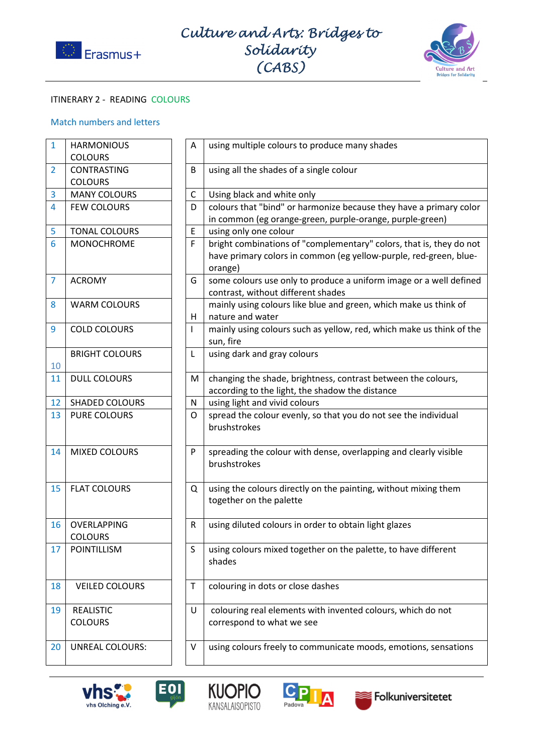



## ITINERARY 2 - READING COLOURS

## Match numbers and letters

| 1              | <b>HARMONIOUS</b>      | A            | using multiple colours to produce many shades                                |
|----------------|------------------------|--------------|------------------------------------------------------------------------------|
|                | <b>COLOURS</b>         |              |                                                                              |
| $\overline{2}$ | <b>CONTRASTING</b>     | B            | using all the shades of a single colour                                      |
|                | <b>COLOURS</b>         |              |                                                                              |
| 3              | <b>MANY COLOURS</b>    | C            | Using black and white only                                                   |
| $\overline{4}$ | <b>FEW COLOURS</b>     | D            | colours that "bind" or harmonize because they have a primary color           |
|                |                        |              | in common (eg orange-green, purple-orange, purple-green)                     |
| 5              | <b>TONAL COLOURS</b>   | E            | using only one colour                                                        |
| 6              | <b>MONOCHROME</b>      | F            | bright combinations of "complementary" colors, that is, they do not          |
|                |                        |              | have primary colors in common (eg yellow-purple, red-green, blue-<br>orange) |
| 7              | <b>ACROMY</b>          | G            | some colours use only to produce a uniform image or a well defined           |
|                |                        |              | contrast, without different shades                                           |
| 8              | <b>WARM COLOURS</b>    |              | mainly using colours like blue and green, which make us think of             |
|                |                        | H            | nature and water                                                             |
| 9              | <b>COLD COLOURS</b>    | $\mathbf{I}$ | mainly using colours such as yellow, red, which make us think of the         |
|                |                        |              | sun, fire                                                                    |
|                | <b>BRIGHT COLOURS</b>  | L            | using dark and gray colours                                                  |
| 10             |                        |              |                                                                              |
| 11             | <b>DULL COLOURS</b>    | М            | changing the shade, brightness, contrast between the colours,                |
|                |                        |              | according to the light, the shadow the distance                              |
| 12             | <b>SHADED COLOURS</b>  | N            | using light and vivid colours                                                |
| 13             | <b>PURE COLOURS</b>    | O            | spread the colour evenly, so that you do not see the individual              |
|                |                        |              | brushstrokes                                                                 |
|                |                        |              |                                                                              |
| 14             | <b>MIXED COLOURS</b>   | P            | spreading the colour with dense, overlapping and clearly visible             |
|                |                        |              | brushstrokes                                                                 |
|                |                        |              |                                                                              |
| 15             | <b>FLAT COLOURS</b>    | Q            | using the colours directly on the painting, without mixing them              |
|                |                        |              | together on the palette                                                      |
|                |                        |              |                                                                              |
| 16             | OVERLAPPING            | $\mathsf R$  | using diluted colours in order to obtain light glazes                        |
|                | <b>COLOURS</b>         |              |                                                                              |
| 17             | POINTILLISM            | S            | using colours mixed together on the palette, to have different               |
|                |                        |              | shades                                                                       |
|                |                        |              |                                                                              |
| 18             | <b>VEILED COLOURS</b>  | $\mathsf T$  | colouring in dots or close dashes                                            |
| 19             | <b>REALISTIC</b>       | U            |                                                                              |
|                | <b>COLOURS</b>         |              | colouring real elements with invented colours, which do not                  |
|                |                        |              | correspond to what we see                                                    |
| 20             | <b>UNREAL COLOURS:</b> | $\vee$       | using colours freely to communicate moods, emotions, sensations              |
|                |                        |              |                                                                              |
|                |                        |              |                                                                              |









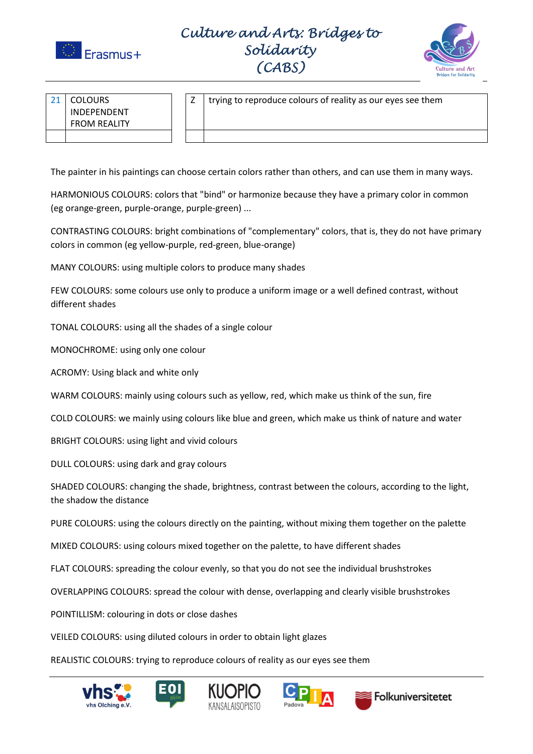

Culture and Arts: Bridges to Solidarity (CABS)



| 21 | <b>COLOURS</b>      |
|----|---------------------|
|    | INDEPENDENT         |
|    | <b>FROM REALITY</b> |
|    |                     |

 $Z \mid$  trying to reproduce colours of reality as our eyes see them

The painter in his paintings can choose certain colors rather than others, and can use them in many ways.

HARMONIOUS COLOURS: colors that "bind" or harmonize because they have a primary color in common (eg orange-green, purple-orange, purple-green) ...

CONTRASTING COLOURS: bright combinations of "complementary" colors, that is, they do not have primary colors in common (eg yellow-purple, red-green, blue-orange)

MANY COLOURS: using multiple colors to produce many shades

FEW COLOURS: some colours use only to produce a uniform image or a well defined contrast, without different shades

TONAL COLOURS: using all the shades of a single colour

MONOCHROME: using only one colour

ACROMY: Using black and white only

WARM COLOURS: mainly using colours such as yellow, red, which make us think of the sun, fire

COLD COLOURS: we mainly using colours like blue and green, which make us think of nature and water

BRIGHT COLOURS: using light and vivid colours

DULL COLOURS: using dark and gray colours

SHADED COLOURS: changing the shade, brightness, contrast between the colours, according to the light, the shadow the distance

PURE COLOURS: using the colours directly on the painting, without mixing them together on the palette

MIXED COLOURS: using colours mixed together on the palette, to have different shades

FLAT COLOURS: spreading the colour evenly, so that you do not see the individual brushstrokes

OVERLAPPING COLOURS: spread the colour with dense, overlapping and clearly visible brushstrokes

POINTILLISM: colouring in dots or close dashes

VEILED COLOURS: using diluted colours in order to obtain light glazes

REALISTIC COLOURS: trying to reproduce colours of reality as our eyes see them